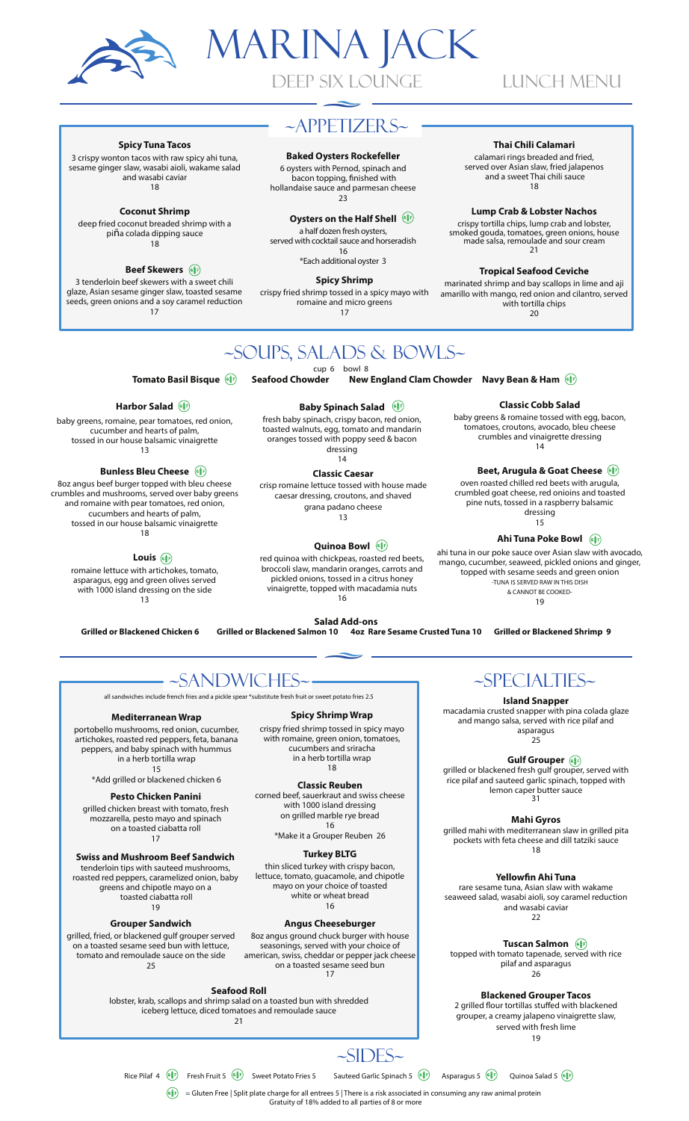

**Spicy Tuna Tacos** 

3 crispy wonton tacos with raw spicy ahi tuna,

sesame ginger slaw, wasabi aioli, wakame salad

and wasabi caviar

18

**Coconut Shrimp** 

deep fried coconut breaded shrimp with a

piña colada dipping sauce

18

3 tenderloin beef skewers with a sweet chili

glaze, Asian sesame ginger slaw, toasted sesame

seeds, green onions and a soy caramel reduction

17

**Beef Skewers** (



### **LUNCH MENU**

### $\sim$ APPETIZER S $\sim$

#### **Baked Oysters Rockefeller**

6 oysters with Pernod, spinach and bacon topping, finished with hollandaise sauce and parmesan cheese  $23$ 

#### Oysters on the Half Shell (

a half dozen fresh oysters, served with cocktail sauce and horseradish 16

\*Each additional oyster 3

**Spicy Shrimp** 

crispy fried shrimp tossed in a spicy mayo with romaine and micro greens 17

#### Thai Chili Calamari

calamari rings breaded and fried, served over Asian slaw, fried jalapenos and a sweet Thai chili sauce 18

#### **Lump Crab & Lobster Nachos**

The Unit of the Terminum crisis and lobster,<br>crispy tortilla chips, lump crab and lobster,<br>smoked gouda, tomatoes, green onions, house<br>made salsa, remoulade and sour cream<br>21

**Tropical Seafood Ceviche** 

marinated shrimp and bay scallops in lime and aji amarillo with mango, red onion and cilantro, served with tortilla chips 20

**Classic Cobb Salad** baby greens & romaine tossed with egg, bacon,

tomatoes, croutons, avocado, bleu cheese

crumbles and vinaigrette dressing

 $14$ 

oven roasted chilled red beets with arugula,

crumbled goat cheese, red onioins and toasted

pine nuts, tossed in a raspberry balsamic

dressing

15

ahi tuna in our poke sauce over Asian slaw with avocado,

mango, cucumber, seaweed, pickled onions and ginger,<br>topped with sesame seeds and green onion

-TUNA IS SERVED RAW IN THIS DISH

& CANNOT BE COOKED-

19

Ahi Tuna Poke Bowl (

Beet, Arugula & Goat Cheese (6)

~SOUPS, SALADS & BOWLS~

cup 6 bowl 8<br>**vder New England Clam Chowder Navy Bean & Ham**(爹) Tomato Basil Bisque (s) Seafood Chowder

#### Harbor Salad (

baby greens, romaine, pear tomatoes, red onion, cucumber and hearts of palm, tossed in our house balsamic vinaigrette  $13$ 

#### **Bunless Bleu Cheese** ( $\circ$   $\circ$

8oz angus beef burger topped with bleu cheese crumbles and mushrooms, served over baby greens and romaine with pear tomatoes, red onion, cucumbers and hearts of palm. tossed in our house balsamic vinaigrette 18

#### Louis (

**Mediterranean Wrap** 

portobello mushrooms, red onion, cucumber,

artichokes, roasted red peppers, feta, banana

peppers, and baby spinach with hummus<br>in a herb tortilla wrap

 $15$ \*Add grilled or blackened chicken 6

**Pesto Chicken Panini** 

grilled chicken breast with tomato, fresh

mozzarella, pesto mayo and spinach

on a toasted ciabatta roll

17

**Swiss and Mushroom Beef Sandwich** 

tenderloin tips with sauteed mushrooms,

roasted red peppers, caramelized onion, baby

greens and chipotle mayo on a<br>toasted ciabatta roll

19

**Grouper Sandwich** grilled, fried, or blackened gulf grouper served<br>on a toasted sesame seed bun with lettuce,

tomato and remoulade sauce on the side

25

romaine lettuce with artichokes, tomato,<br>asparagus, egg and green olives served with 1000 island dressing on the side  $13$ 

**Baby Spinach Salad** (6) fresh baby spinach, crispy bacon, red onion,

toasted walnuts, egg, tomato and mandarin oranges tossed with poppy seed & bacon dressing  $14$ 

**Classic Caesar** crisp romaine lettuce tossed with house made

caesar dressing, croutons, and shaved grana padano cheese  $13$ 

#### Quinoa Bowl (

red quinoa with chickpeas, roasted red beets, broccoli slaw, mandarin oranges, carrots and pickled onions, tossed in a citrus honey vinaigrette, topped with macadamia nuts<br>16

Salad Add-ons<br>non 10 4oz Rare Sesame Crusted Tuna 10 Grilled or Blackened Shrimp 9

**Grilled or Blackened Chicken 6** 



#### **Island Snapper**

macadamia crusted snapper with pina colada glaze and mango salsa, served with rice pilaf and asparagus

 $25$ 

Gulf Grouper  $\frac{1}{\binom{3}{2}}$  grilled or blackened fresh gulf grouper, served with rice pilaf and sauteed garlic spinach, topped with lemon caper butter sauce<br>31

Mahi Gyros<br>grilled mahi with mediterranean slaw in grilled pita pockets with feta cheese and dill tatziki sauce 18

Yellowfin Ahi Tuna rare sesame tuna, Asian slaw with wakame seaweed salad, wasabi aioli, soy caramel reduction

and wasabi caviar  $22$ 

**Tuscan Salmon** ( topped with tomato tapenade, served with rice pilaf and asparagus  $26$ 

**Blackened Grouper Tacos** 2 grilled flour tortillas stuffed with blackened grouper, a creamy jalapeno vinaigrette slaw, served with fresh lime  $10$ 

**Spicy Shrimp Wrap** 

**Grilled or Blackened Salmon 10** 

~SANDWICHES~

all sandwiches include french fries and a pickle spear \*substitute fresh fruit or sweet potato fries 2.5

crispy fried shrimp tossed in spicy mayo with romaine, green onion, tomatoes, cucumbers and sriracha in a herb tortilla wrap 18

**Classic Reuben** 

corned beef, sauerkraut and swiss cheese with 1000 island dressing on grilled marble rye bread 16

white or wheat bread 16

### **Angus Cheeseburger**

8oz angus ground chuck burger with house seasonings, served with your choice of american, swiss, cheddar or pepper jack cheese on a toasted sesame seed bun<br>17

#### **Seafood Roll**

lobster, krab, scallops and shrimp salad on a toasted bun with shredded iceberg lettuce, diced tomatoes and remoulade sauce  $21$ 

 $-SIDES-$ 

Rice Pilaf 4  $(\frac{61}{8})$  Fresh Fruit 5  $(\frac{61}{8})$  Sweet Potato Fries 5 Sauteed Garlic Spinach 5  $(\frac{1}{2})$  Asparagus 5  $(\frac{1}{2})$  Quinoa Salad 5  $(\frac{3}{2})$ 

 $\widehat{(\mathbf{s}_{\overline{s}}^*)}$  = Gluten Free | Split plate charge for all entrees 5 | There is a risk associated in consuming any raw animal protein

Gratuity of 18% added to all parties of 8 or more

\*Make it a Grouper Reuben 26

**Turkey BLTG** 

thin sliced turkey with crispy bacon, lettuce, tomato, guacamole, and chipotle<br>mayo on your choice of toasted